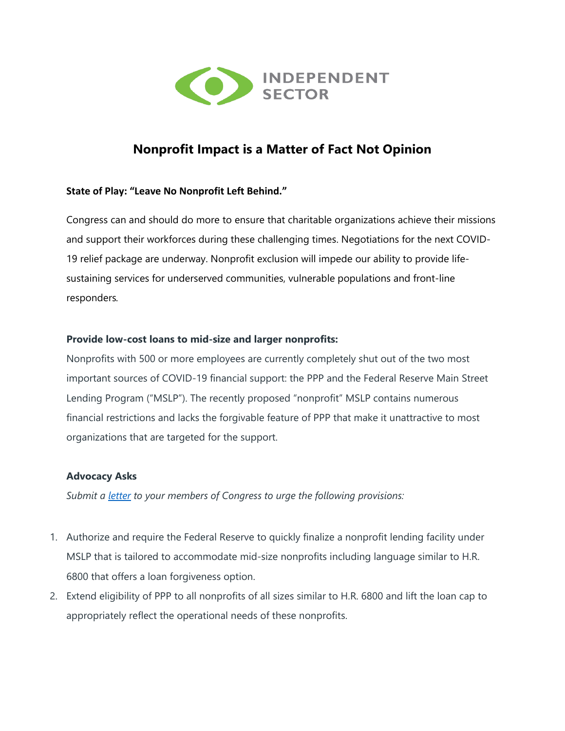

# **Nonprofit Impact is a Matter of Fact Not Opinion**

# **State of Play: "Leave No Nonprofit Left Behind."**

Congress can and should do more to ensure that charitable organizations achieve their missions and support their workforces during these challenging times. Negotiations for the next COVID-19 relief package are underway. Nonprofit exclusion will impede our ability to provide lifesustaining services for underserved communities, vulnerable populations and front-line responders*.*

# **Provide low-cost loans to mid-size and larger nonprofits:**

Nonprofits with 500 or more employees are currently completely shut out of the two most important sources of COVID-19 financial support: the PPP and the Federal Reserve Main Street Lending Program ("MSLP"). The recently proposed "nonprofit" MSLP contains numerous financial restrictions and lacks the forgivable feature of PPP that make it unattractive to most organizations that are targeted for the support.

# **Advocacy Asks**

*Submit a [letter](https://independentsector.quorum.us/campaign/29521/) to your members of Congress to urge the following provisions:* 

- 1. Authorize and require the Federal Reserve to quickly finalize a nonprofit lending facility under MSLP that is tailored to accommodate mid-size nonprofits including language similar to H.R. 6800 that offers a loan forgiveness option.
- 2. Extend eligibility of PPP to all nonprofits of all sizes similar to H.R. 6800 and lift the loan cap to appropriately reflect the operational needs of these nonprofits.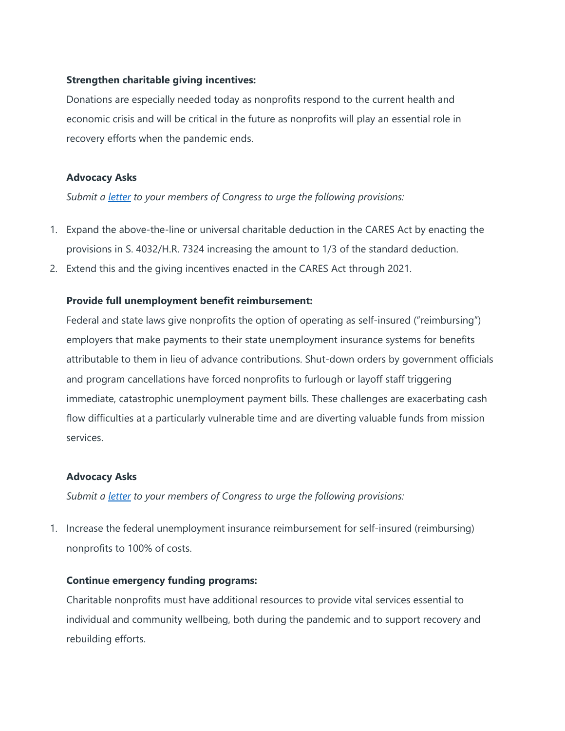# **Strengthen charitable giving incentives:**

Donations are especially needed today as nonprofits respond to the current health and economic crisis and will be critical in the future as nonprofits will play an essential role in recovery efforts when the pandemic ends.

#### **Advocacy Asks**

*Submit a [letter](https://independentsector.quorum.us/campaign/29521/) to your members of Congress to urge the following provisions:* 

- 1. Expand the above-the-line or universal charitable deduction in the CARES Act by enacting the provisions in S. 4032/H.R. 7324 increasing the amount to 1/3 of the standard deduction.
- 2. Extend this and the giving incentives enacted in the CARES Act through 2021.

#### **Provide full unemployment benefit reimbursement:**

Federal and state laws give nonprofits the option of operating as self-insured ("reimbursing") employers that make payments to their state unemployment insurance systems for benefits attributable to them in lieu of advance contributions. Shut-down orders by government officials and program cancellations have forced nonprofits to furlough or layoff staff triggering immediate, catastrophic unemployment payment bills. These challenges are exacerbating cash flow difficulties at a particularly vulnerable time and are diverting valuable funds from mission services.

#### **Advocacy Asks**

*Submit a [letter](https://independentsector.quorum.us/campaign/29521/) to your members of Congress to urge the following provisions:* 

1. Increase the federal unemployment insurance reimbursement for self-insured (reimbursing) nonprofits to 100% of costs.

#### **Continue emergency funding programs:**

Charitable nonprofits must have additional resources to provide vital services essential to individual and community wellbeing, both during the pandemic and to support recovery and rebuilding efforts.